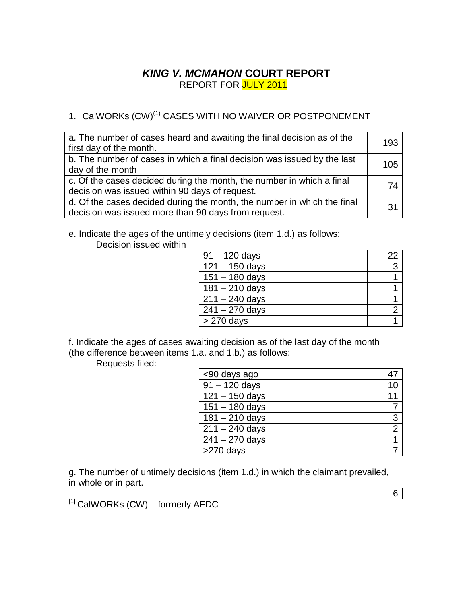## *KING V. MCMAHON* **COURT REPORT** REPORT FOR JULY 2011

# 1. CalWORKs (CW)<sup>(1)</sup> CASES WITH NO WAIVER OR POSTPONEMENT

| a. The number of cases heard and awaiting the final decision as of the<br>first day of the month.                              | 193 |
|--------------------------------------------------------------------------------------------------------------------------------|-----|
| b. The number of cases in which a final decision was issued by the last<br>day of the month                                    | 105 |
| c. Of the cases decided during the month, the number in which a final<br>decision was issued within 90 days of request.        | 74  |
| d. Of the cases decided during the month, the number in which the final<br>decision was issued more than 90 days from request. | 31  |

e. Indicate the ages of the untimely decisions (item 1.d.) as follows: Decision issued within

| $91 - 120$ days  | 22 |
|------------------|----|
| $121 - 150$ days | 3  |
| $151 - 180$ days |    |
| $181 - 210$ days |    |
| $211 - 240$ days |    |
| $241 - 270$ days |    |
| $>270$ days      |    |

f. Indicate the ages of cases awaiting decision as of the last day of the month (the difference between items 1.a. and 1.b.) as follows:

Requests filed:

| <90 days ago     |                |
|------------------|----------------|
| $91 - 120$ days  |                |
| $121 - 150$ days | 11             |
| $151 - 180$ days |                |
| $181 - 210$ days | 3              |
| $211 - 240$ days | $\overline{2}$ |
| $241 - 270$ days |                |
| >270 days        |                |

g. The number of untimely decisions (item 1.d.) in which the claimant prevailed, in whole or in part.

 $[1]$  CalWORKs (CW) – formerly AFDC

6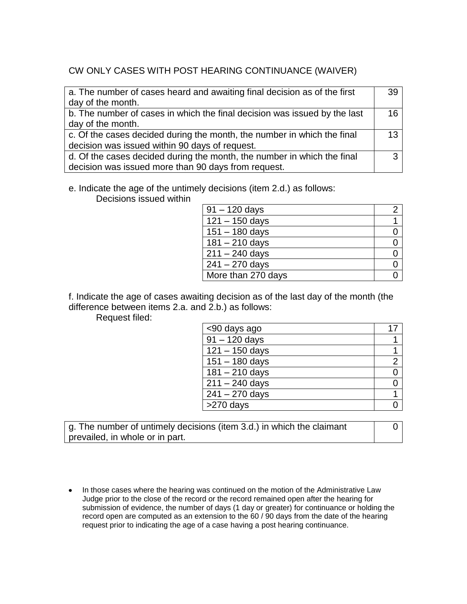## CW ONLY CASES WITH POST HEARING CONTINUANCE (WAIVER)

| a. The number of cases heard and awaiting final decision as of the first  | 39 |
|---------------------------------------------------------------------------|----|
| day of the month.                                                         |    |
| b. The number of cases in which the final decision was issued by the last | 16 |
| day of the month.                                                         |    |
| c. Of the cases decided during the month, the number in which the final   | 13 |
| decision was issued within 90 days of request.                            |    |
| d. Of the cases decided during the month, the number in which the final   | ◠  |
| decision was issued more than 90 days from request.                       |    |

### e. Indicate the age of the untimely decisions (item 2.d.) as follows:

Decisions issued within

| $91 - 120$ days    |  |
|--------------------|--|
| $121 - 150$ days   |  |
| $151 - 180$ days   |  |
| $181 - 210$ days   |  |
| $211 - 240$ days   |  |
| $241 - 270$ days   |  |
| More than 270 days |  |

f. Indicate the age of cases awaiting decision as of the last day of the month (the difference between items 2.a. and 2.b.) as follows:

Request filed:

| <90 days ago              |                |
|---------------------------|----------------|
| $\frac{1}{91} - 120$ days |                |
| $121 - 150$ days          |                |
| $151 - 180$ days          | $\overline{2}$ |
| $181 - 210$ days          |                |
| $211 - 240$ days          |                |
| $241 - 270$ days          |                |
| $>270$ days               |                |

g. The number of untimely decisions (item 3.d.) in which the claimant prevailed, in whole or in part.

0

• In those cases where the hearing was continued on the motion of the Administrative Law Judge prior to the close of the record or the record remained open after the hearing for submission of evidence, the number of days (1 day or greater) for continuance or holding the record open are computed as an extension to the 60 / 90 days from the date of the hearing request prior to indicating the age of a case having a post hearing continuance.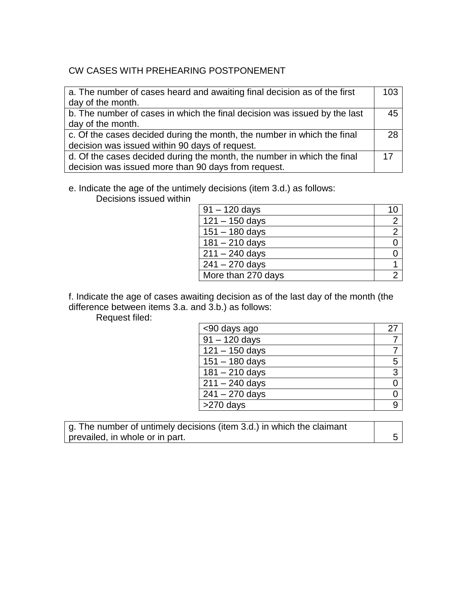## CW CASES WITH PREHEARING POSTPONEMENT

| a. The number of cases heard and awaiting final decision as of the first  | 103 |
|---------------------------------------------------------------------------|-----|
| day of the month.                                                         |     |
| b. The number of cases in which the final decision was issued by the last | 45  |
| day of the month.                                                         |     |
| c. Of the cases decided during the month, the number in which the final   | 28  |
| decision was issued within 90 days of request.                            |     |
| d. Of the cases decided during the month, the number in which the final   | 17  |
| decision was issued more than 90 days from request.                       |     |

e. Indicate the age of the untimely decisions (item 3.d.) as follows:

Decisions issued within

| $91 - 120$ days    |                |
|--------------------|----------------|
| $121 - 150$ days   | $\overline{2}$ |
| $151 - 180$ days   | $\overline{2}$ |
| $181 - 210$ days   |                |
| $211 - 240$ days   |                |
| $241 - 270$ days   |                |
| More than 270 days |                |

f. Indicate the age of cases awaiting decision as of the last day of the month (the difference between items 3.a. and 3.b.) as follows:

Request filed:

| <90 days ago           |   |
|------------------------|---|
| $\sqrt{91 - 120}$ days |   |
| $121 - 150$ days       |   |
| $151 - 180$ days       | 5 |
| $181 - 210$ days       | 3 |
| $211 - 240$ days       | 0 |
| $241 - 270$ days       |   |
| >270 days              |   |

g. The number of untimely decisions (item 3.d.) in which the claimant prevailed, in whole or in part. 5